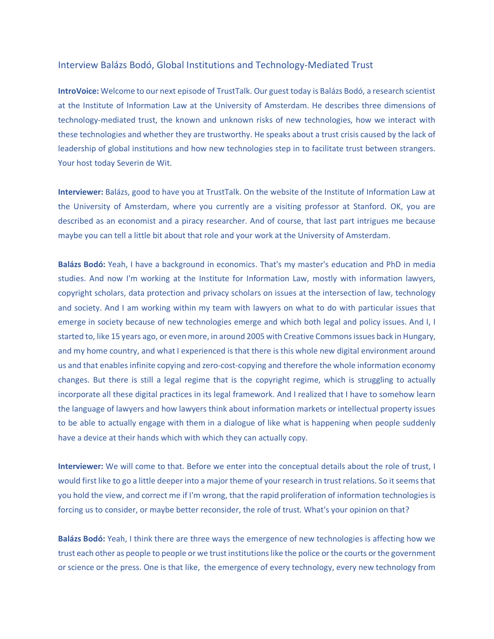## Interview Balázs Bodó, Global Institutions and Technology-Mediated Trust

**IntroVoice:** Welcome to our next episode of TrustTalk. Our guest today is Balázs Bodó, a research scientist at the Institute of Information Law at the University of Amsterdam. He describes three dimensions of technology-mediated trust, the known and unknown risks of new technologies, how we interact with these technologies and whether they are trustworthy. He speaks about a trust crisis caused by the lack of leadership of global institutions and how new technologies step in to facilitate trust between strangers. Your host today Severin de Wit.

**Interviewer:** Balázs, good to have you at TrustTalk. On the website of the Institute of Information Law at the University of Amsterdam, where you currently are a visiting professor at Stanford. OK, you are described as an economist and a piracy researcher. And of course, that last part intrigues me because maybe you can tell a little bit about that role and your work at the University of Amsterdam.

**Balázs Bodó:** Yeah, I have a background in economics. That's my master's education and PhD in media studies. And now I'm working at the Institute for Information Law, mostly with information lawyers, copyright scholars, data protection and privacy scholars on issues at the intersection of law, technology and society. And I am working within my team with lawyers on what to do with particular issues that emerge in society because of new technologies emerge and which both legal and policy issues. And I, I started to, like 15 years ago, or even more, in around 2005 with Creative Commons issues back in Hungary, and my home country, and what I experienced is that there is this whole new digital environment around us and that enables infinite copying and zero-cost-copying and therefore the whole information economy changes. But there is still a legal regime that is the copyright regime, which is struggling to actually incorporate all these digital practices in its legal framework. And I realized that I have to somehow learn the language of lawyers and how lawyers think about information markets or intellectual property issues to be able to actually engage with them in a dialogue of like what is happening when people suddenly have a device at their hands which with which they can actually copy.

**Interviewer:** We will come to that. Before we enter into the conceptual details about the role of trust, I would first like to go a little deeper into a major theme of your research in trust relations. So it seems that you hold the view, and correct me if I'm wrong, that the rapid proliferation of information technologies is forcing us to consider, or maybe better reconsider, the role of trust. What's your opinion on that?

**Balázs Bodó:** Yeah, I think there are three ways the emergence of new technologies is affecting how we trust each other as people to people or we trust institutions like the police or the courts or the government or science or the press. One is that like, the emergence of every technology, every new technology from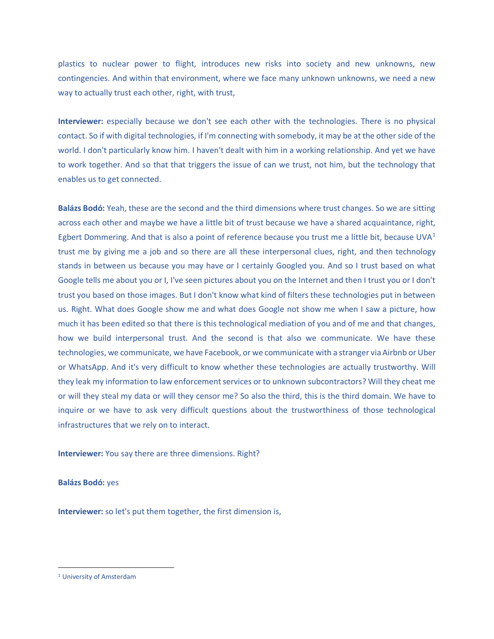plastics to nuclear power to flight, introduces new risks into society and new unknowns, new contingencies. And within that environment, where we face many unknown unknowns, we need a new way to actually trust each other, right, with trust,

**Interviewer:** especially because we don't see each other with the technologies. There is no physical contact. So if with digital technologies, if I'm connecting with somebody, it may be at the other side of the world. I don't particularly know him. I haven't dealt with him in a working relationship. And yet we have to work together. And so that that triggers the issue of can we trust, not him, but the technology that enables us to get connected.

**Balázs Bodó:** Yeah, these are the second and the third dimensions where trust changes. So we are sitting across each other and maybe we have a little bit of trust because we have a shared acquaintance, right, Egbert Dommering. And that is also a point of reference because you trust me a little bit, because UVA<sup>[1](#page-1-0)</sup> trust me by giving me a job and so there are all these interpersonal clues, right, and then technology stands in between us because you may have or I certainly Googled you. And so I trust based on what Google tells me about you or I, I've seen pictures about you on the Internet and then I trust you or I don't trust you based on those images. But I don't know what kind of filters these technologies put in between us. Right. What does Google show me and what does Google not show me when I saw a picture, how much it has been edited so that there is this technological mediation of you and of me and that changes, how we build interpersonal trust. And the second is that also we communicate. We have these technologies, we communicate, we have Facebook, or we communicate with a stranger via Airbnb or Uber or WhatsApp. And it's very difficult to know whether these technologies are actually trustworthy. Will they leak my information to law enforcement services or to unknown subcontractors? Will they cheat me or will they steal my data or will they censor me? So also the third, this is the third domain. We have to inquire or we have to ask very difficult questions about the trustworthiness of those technological infrastructures that we rely on to interact.

**Interviewer:** You say there are three dimensions. Right?

**Balázs Bodó:** yes

**Interviewer:** so let's put them together, the first dimension is,

<span id="page-1-0"></span><sup>1</sup> University of Amsterdam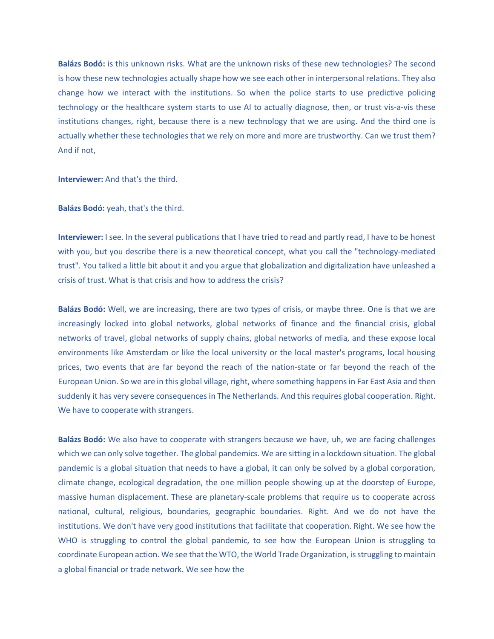**Balázs Bodó:** is this unknown risks. What are the unknown risks of these new technologies? The second is how these new technologies actually shape how we see each other in interpersonal relations. They also change how we interact with the institutions. So when the police starts to use predictive policing technology or the healthcare system starts to use AI to actually diagnose, then, or trust vis-a-vis these institutions changes, right, because there is a new technology that we are using. And the third one is actually whether these technologies that we rely on more and more are trustworthy. Can we trust them? And if not,

**Interviewer:** And that's the third.

**Balázs Bodó:** yeah, that's the third.

**Interviewer:** I see. In the several publications that I have tried to read and partly read, I have to be honest with you, but you describe there is a new theoretical concept, what you call the "technology-mediated trust". You talked a little bit about it and you argue that globalization and digitalization have unleashed a crisis of trust. What is that crisis and how to address the crisis?

**Balázs Bodó:** Well, we are increasing, there are two types of crisis, or maybe three. One is that we are increasingly locked into global networks, global networks of finance and the financial crisis, global networks of travel, global networks of supply chains, global networks of media, and these expose local environments like Amsterdam or like the local university or the local master's programs, local housing prices, two events that are far beyond the reach of the nation-state or far beyond the reach of the European Union. So we are in this global village, right, where something happens in Far East Asia and then suddenly it has very severe consequences in The Netherlands. And this requires global cooperation. Right. We have to cooperate with strangers.

**Balázs Bodó:** We also have to cooperate with strangers because we have, uh, we are facing challenges which we can only solve together. The global pandemics. We are sitting in a lockdown situation. The global pandemic is a global situation that needs to have a global, it can only be solved by a global corporation, climate change, ecological degradation, the one million people showing up at the doorstep of Europe, massive human displacement. These are planetary-scale problems that require us to cooperate across national, cultural, religious, boundaries, geographic boundaries. Right. And we do not have the institutions. We don't have very good institutions that facilitate that cooperation. Right. We see how the WHO is struggling to control the global pandemic, to see how the European Union is struggling to coordinate European action. We see that the WTO, the World Trade Organization, is struggling to maintain a global financial or trade network. We see how the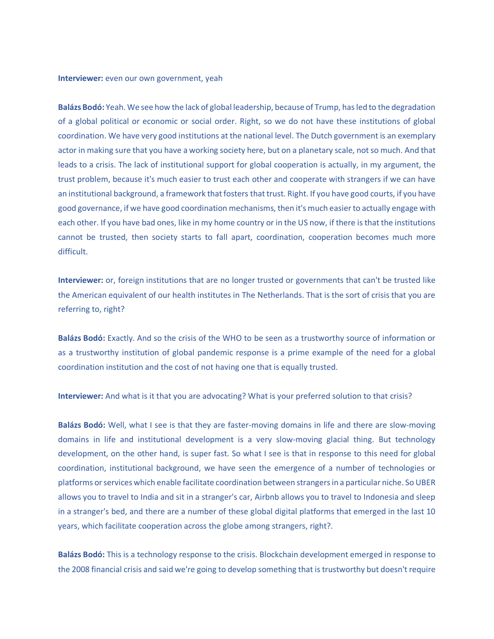**Interviewer:** even our own government, yeah

**Balázs Bodó:** Yeah. We see how the lack of global leadership, because of Trump, has led to the degradation of a global political or economic or social order. Right, so we do not have these institutions of global coordination. We have very good institutions at the national level. The Dutch government is an exemplary actor in making sure that you have a working society here, but on a planetary scale, not so much. And that leads to a crisis. The lack of institutional support for global cooperation is actually, in my argument, the trust problem, because it's much easier to trust each other and cooperate with strangers if we can have an institutional background, a framework that fosters that trust. Right. If you have good courts, if you have good governance, if we have good coordination mechanisms, then it's much easier to actually engage with each other. If you have bad ones, like in my home country or in the US now, if there is that the institutions cannot be trusted, then society starts to fall apart, coordination, cooperation becomes much more difficult.

**Interviewer:** or, foreign institutions that are no longer trusted or governments that can't be trusted like the American equivalent of our health institutes in The Netherlands. That is the sort of crisis that you are referring to, right?

**Balázs Bodó:** Exactly. And so the crisis of the WHO to be seen as a trustworthy source of information or as a trustworthy institution of global pandemic response is a prime example of the need for a global coordination institution and the cost of not having one that is equally trusted.

**Interviewer:** And what is it that you are advocating? What is your preferred solution to that crisis?

**Balázs Bodó:** Well, what I see is that they are faster-moving domains in life and there are slow-moving domains in life and institutional development is a very slow-moving glacial thing. But technology development, on the other hand, is super fast. So what I see is that in response to this need for global coordination, institutional background, we have seen the emergence of a number of technologies or platforms or services which enable facilitate coordination between strangers in a particular niche. So UBER allows you to travel to India and sit in a stranger's car, Airbnb allows you to travel to Indonesia and sleep in a stranger's bed, and there are a number of these global digital platforms that emerged in the last 10 years, which facilitate cooperation across the globe among strangers, right?.

**Balázs Bodó:** This is a technology response to the crisis. Blockchain development emerged in response to the 2008 financial crisis and said we're going to develop something that is trustworthy but doesn't require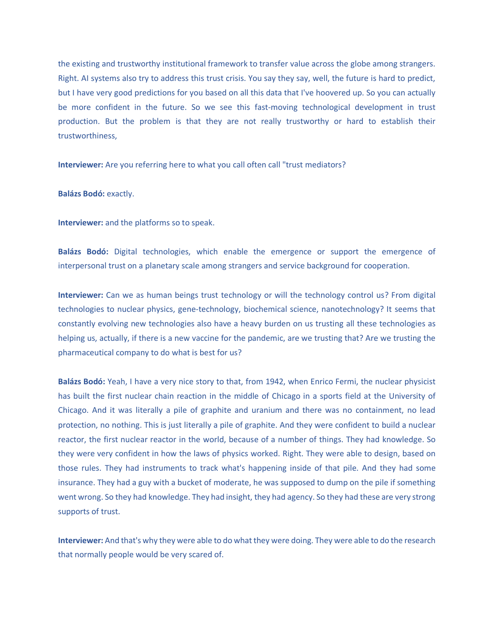the existing and trustworthy institutional framework to transfer value across the globe among strangers. Right. AI systems also try to address this trust crisis. You say they say, well, the future is hard to predict, but I have very good predictions for you based on all this data that I've hoovered up. So you can actually be more confident in the future. So we see this fast-moving technological development in trust production. But the problem is that they are not really trustworthy or hard to establish their trustworthiness,

**Interviewer:** Are you referring here to what you call often call "trust mediators?

**Balázs Bodó:** exactly.

**Interviewer:** and the platforms so to speak.

**Balázs Bodó:** Digital technologies, which enable the emergence or support the emergence of interpersonal trust on a planetary scale among strangers and service background for cooperation.

**Interviewer:** Can we as human beings trust technology or will the technology control us? From digital technologies to nuclear physics, gene-technology, biochemical science, nanotechnology? It seems that constantly evolving new technologies also have a heavy burden on us trusting all these technologies as helping us, actually, if there is a new vaccine for the pandemic, are we trusting that? Are we trusting the pharmaceutical company to do what is best for us?

**Balázs Bodó:** Yeah, I have a very nice story to that, from 1942, when Enrico Fermi, the nuclear physicist has built the first nuclear chain reaction in the middle of Chicago in a sports field at the University of Chicago. And it was literally a pile of graphite and uranium and there was no containment, no lead protection, no nothing. This is just literally a pile of graphite. And they were confident to build a nuclear reactor, the first nuclear reactor in the world, because of a number of things. They had knowledge. So they were very confident in how the laws of physics worked. Right. They were able to design, based on those rules. They had instruments to track what's happening inside of that pile. And they had some insurance. They had a guy with a bucket of moderate, he was supposed to dump on the pile if something went wrong. So they had knowledge. They had insight, they had agency. So they had these are very strong supports of trust.

**Interviewer:** And that's why they were able to do what they were doing. They were able to do the research that normally people would be very scared of.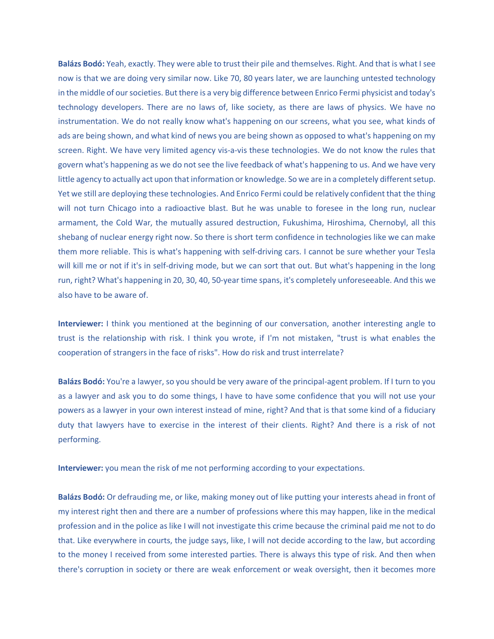**Balázs Bodó:** Yeah, exactly. They were able to trust their pile and themselves. Right. And that is what I see now is that we are doing very similar now. Like 70, 80 years later, we are launching untested technology in the middle of our societies. But there is a very big difference between Enrico Fermi physicist and today's technology developers. There are no laws of, like society, as there are laws of physics. We have no instrumentation. We do not really know what's happening on our screens, what you see, what kinds of ads are being shown, and what kind of news you are being shown as opposed to what's happening on my screen. Right. We have very limited agency vis-a-vis these technologies. We do not know the rules that govern what's happening as we do not see the live feedback of what's happening to us. And we have very little agency to actually act upon that information or knowledge. So we are in a completely different setup. Yet we still are deploying these technologies. And Enrico Fermi could be relatively confident that the thing will not turn Chicago into a radioactive blast. But he was unable to foresee in the long run, nuclear armament, the Cold War, the mutually assured destruction, Fukushima, Hiroshima, Chernobyl, all this shebang of nuclear energy right now. So there is short term confidence in technologies like we can make them more reliable. This is what's happening with self-driving cars. I cannot be sure whether your Tesla will kill me or not if it's in self-driving mode, but we can sort that out. But what's happening in the long run, right? What's happening in 20, 30, 40, 50-year time spans, it's completely unforeseeable. And this we also have to be aware of.

**Interviewer:** I think you mentioned at the beginning of our conversation, another interesting angle to trust is the relationship with risk. I think you wrote, if I'm not mistaken, "trust is what enables the cooperation of strangers in the face of risks". How do risk and trust interrelate?

**Balázs Bodó:** You're a lawyer, so you should be very aware of the principal-agent problem. If I turn to you as a lawyer and ask you to do some things, I have to have some confidence that you will not use your powers as a lawyer in your own interest instead of mine, right? And that is that some kind of a fiduciary duty that lawyers have to exercise in the interest of their clients. Right? And there is a risk of not performing.

**Interviewer:** you mean the risk of me not performing according to your expectations.

**Balázs Bodó:** Or defrauding me, or like, making money out of like putting your interests ahead in front of my interest right then and there are a number of professions where this may happen, like in the medical profession and in the police as like I will not investigate this crime because the criminal paid me not to do that. Like everywhere in courts, the judge says, like, I will not decide according to the law, but according to the money I received from some interested parties. There is always this type of risk. And then when there's corruption in society or there are weak enforcement or weak oversight, then it becomes more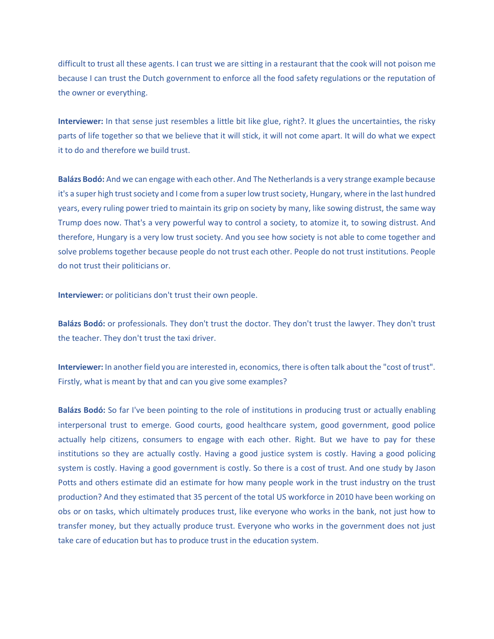difficult to trust all these agents. I can trust we are sitting in a restaurant that the cook will not poison me because I can trust the Dutch government to enforce all the food safety regulations or the reputation of the owner or everything.

**Interviewer:** In that sense just resembles a little bit like glue, right?. It glues the uncertainties, the risky parts of life together so that we believe that it will stick, it will not come apart. It will do what we expect it to do and therefore we build trust.

**Balázs Bodó:** And we can engage with each other. And The Netherlands is a very strange example because it's a super high trust society and I come from a super low trust society, Hungary, where in the last hundred years, every ruling power tried to maintain its grip on society by many, like sowing distrust, the same way Trump does now. That's a very powerful way to control a society, to atomize it, to sowing distrust. And therefore, Hungary is a very low trust society. And you see how society is not able to come together and solve problems together because people do not trust each other. People do not trust institutions. People do not trust their politicians or.

**Interviewer:** or politicians don't trust their own people.

**Balázs Bodó:** or professionals. They don't trust the doctor. They don't trust the lawyer. They don't trust the teacher. They don't trust the taxi driver.

**Interviewer:** In another field you are interested in, economics, there is often talk about the "cost of trust". Firstly, what is meant by that and can you give some examples?

**Balázs Bodó:** So far I've been pointing to the role of institutions in producing trust or actually enabling interpersonal trust to emerge. Good courts, good healthcare system, good government, good police actually help citizens, consumers to engage with each other. Right. But we have to pay for these institutions so they are actually costly. Having a good justice system is costly. Having a good policing system is costly. Having a good government is costly. So there is a cost of trust. And one study by Jason Potts and others estimate did an estimate for how many people work in the trust industry on the trust production? And they estimated that 35 percent of the total US workforce in 2010 have been working on obs or on tasks, which ultimately produces trust, like everyone who works in the bank, not just how to transfer money, but they actually produce trust. Everyone who works in the government does not just take care of education but has to produce trust in the education system.